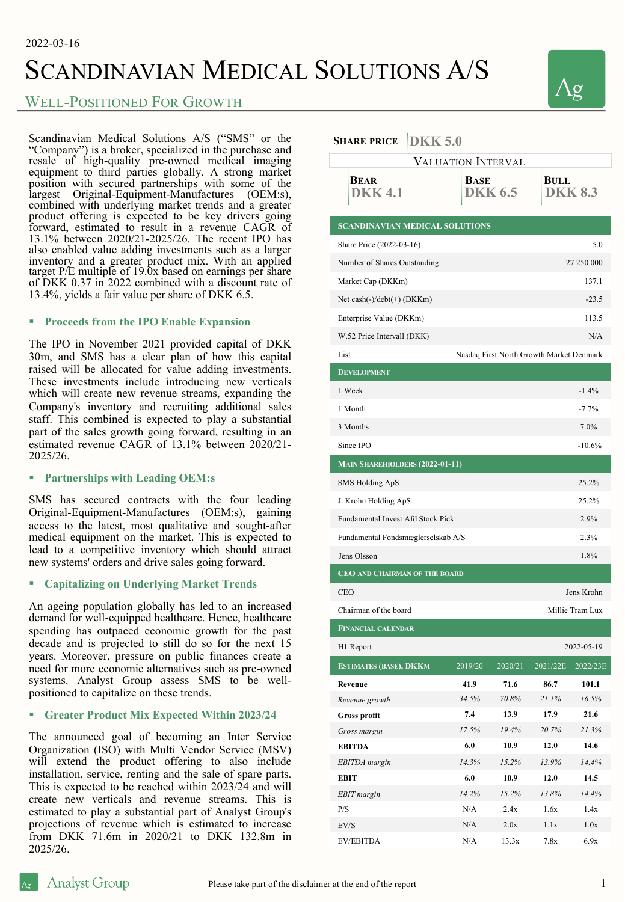# SCANDINAVIAN MEDICAL SOLUTIONS A/S

# WELL-POSITIONED FOR GROWTH

Scandinavian Medical Solutions A/S ("SMS" or the "Company") is a broker, specialized in the purchase and resale of high-quality pre-owned medical imaging equipment to third parties globally. A strong market position with secured partnerships with some of the largest Original-Equipment-Manufactures (OEM:s), combined with underlying market trends and a greater product offering is expected to be key drivers going forward, estimated to result in a revenue CAGR of 13.1% between 2020/21-2025/26. The recent IPO has also enabled value adding investments such as a larger inventory and a greater product mix. With an applied target P/E multiple of 19.0x based on earnings per share of DKK 0.37 in 2022 combined with a discount rate of 13.4%, yields a fair value per share of DKK 6.5.

### § **Proceeds from the IPO Enable Expansion**

The IPO in November 2021 provided capital of DKK 30m, and SMS has a clear plan of how this capital raised will be allocated for value adding investments. These investments include introducing new verticals which will create new revenue streams, expanding the Company's inventory and recruiting additional sales staff. This combined is expected to play a substantial part of the sales growth going forward, resulting in an estimated revenue CAGR of 13.1% between 2020/21- 2025/26.

### § **Partnerships with Leading OEM:s**

SMS has secured contracts with the four leading Original-Equipment-Manufactures (OEM:s), gaining access to the latest, most qualitative and sought-after medical equipment on the market. This is expected to lead to a competitive inventory which should attract new systems' orders and drive sales going forward.

## § **Capitalizing on Underlying Market Trends**

An ageing population globally has led to an increased demand for well-equipped healthcare. Hence, healthcare spending has outpaced economic growth for the past decade and is projected to still do so for the next 15 years. Moreover, pressure on public finances create a need for more economic alternatives such as pre-owned systems. Analyst Group assess SMS to be wellpositioned to capitalize on these trends.

## § **Greater Product Mix Expected Within 2023/24**

The announced goal of becoming an Inter Service Organization (ISO) with Multi Vendor Service (MSV) will extend the product offering to also include installation, service, renting and the sale of spare parts. This is expected to be reached within 2023/24 and will create new verticals and revenue streams. This is estimated to play a substantial part of Analyst Group's projections of revenue which is estimated to increase from DKK 71.6m in 2020/21 to DKK 132.8m in 2025/26.

# $\mathbf{S}_{\mathbf{H}}$ **ADE** PRICE **DKK** 5.0

| <u>JARAN JOU</u>                                 |             |                |                 |                |
|--------------------------------------------------|-------------|----------------|-----------------|----------------|
| <b>VALUATION INTERVAL</b>                        |             |                |                 |                |
| <b>BEAR</b><br><b>DKK4.1</b>                     | <b>BASE</b> | <b>DKK 6.5</b> | <b>BULL</b>     | <b>DKK 8.3</b> |
| <b>SCANDINAVIAN MEDICAL SOLUTIONS</b>            |             |                |                 |                |
| Share Price (2022-03-16)<br>5.0                  |             |                |                 |                |
| Number of Shares Outstanding                     |             |                |                 | 27 250 000     |
| Market Cap (DKKm)                                |             |                |                 | 137.1          |
| Net cash $(-)/\text{debt}(+)$ (DKKm)             |             |                |                 | $-23.5$        |
| Enterprise Value (DKKm)                          |             |                |                 | 113.5          |
| W.52 Price Intervall (DKK)                       |             |                |                 | N/A            |
| List<br>Nasdaq First North Growth Market Denmark |             |                |                 |                |
| <b>DEVELOPMENT</b>                               |             |                |                 |                |
| 1 Week                                           |             |                |                 | $-1.4%$        |
| 1 Month                                          |             |                |                 | $-7.7%$        |
| 3 Months                                         |             |                |                 | 7.0%           |
| Since IPO                                        |             |                |                 | $-10.6%$       |
| <b>MAIN SHAREHIOLDERS (2022-01-11)</b>           |             |                |                 |                |
| SMS Holding ApS                                  |             |                |                 | 25.2%          |
| J. Krohn Holding ApS                             |             |                |                 | 25.2%          |
| Fundamental Invest Afd Stock Pick                |             |                |                 | 2.9%           |
| Fundamental Fondsmæglerselskab A/S               |             |                | 2.3%            |                |
| Jens Olsson                                      |             |                |                 | 1.8%           |
| <b>CEO AND CHAIRMAN OF THE BOARD</b>             |             |                |                 |                |
| <b>CEO</b>                                       |             |                |                 | Jens Krohn     |
| Chairman of the board                            |             |                | Millie Tram Lux |                |
| <b>FINANCIAL CALENDAR</b>                        |             |                |                 |                |
| H1 Report                                        |             |                |                 | 2022-05-19     |
| ESTIMATES (BASE), DKKM                           | 2019/20     | 2020/21        | 2021/22E        | 2022/23E       |
| Revenue                                          | 41.9        | 71.6           | 86.7            | 101.1          |
| Revenue growth                                   | 34.5%       | 70.8%          | 21.1%           | 16.5%          |
| <b>Gross profit</b>                              | 7.4         | 13.9           | 17.9            | 21.6           |
| Gross margin                                     | 17.5%       | 19.4%          | 20.7%           | 21.3%          |
| <b>EBITDA</b>                                    | 6.0         | 10.9           | 12.0            | 14.6           |
| <b>EBITDA</b> margin                             | 14.3%       | 15.2%          | 13.9%           | 14.4%          |
| <b>EBIT</b>                                      | 6.0         | 10.9           | 12.0            | 14.5           |
| EBIT margin                                      | 14.2%       | 15.2%          | 13.8%           | 14.4%          |
| P/S                                              | N/A         | 2.4x           | 1.6x            | 1.4x           |
| EV/S                                             | N/A         | 2.0x           | 1.1x            | 1.0x           |
| <b>EV/EBITDA</b>                                 | N/A         | 13.3x          | 7.8x            | 6.9x           |